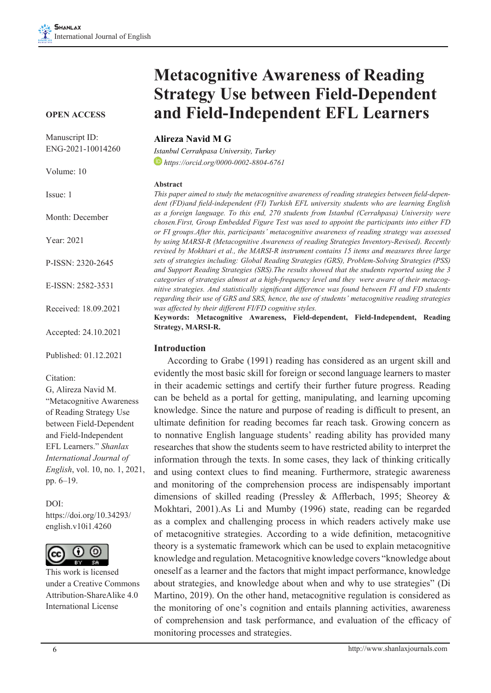#### **OPEN ACCESS**

Manuscript ID: ENG-2021-10014260

Volume: 10

Issue: 1

Month: December

Year: 2021

P-ISSN: 2320-2645

E-ISSN: 2582-3531

Received: 18.09.2021

Accepted: 24.10.2021

Published: 01.12.2021

#### Citation:

G, Alireza Navid M. "Metacognitive Awareness of Reading Strategy Use between Field-Dependent and Field-Independent EFL Learners." *Shanlax International Journal of English*, vol. 10, no. 1, 2021, pp. 6–19.

DOI: https://doi.org/10.34293/ english.v10i1.4260



This work is licensed under a Creative Commons Attribution-ShareAlike 4.0 International License

# **Metacognitive Awareness of Reading Strategy Use between Field-Dependent and Field-Independent EFL Learners**

### **Alireza Navid M G**

*Istanbul Cerrahpasa University, Turkey https://orcid.org/0000-0002-8804-6761*

#### **Abstract**

*This paper aimed to study the metacognitive awareness of reading strategies between field-dependent (FD)and field-independent (FI) Turkish EFL university students who are learning English as a foreign language. To this end, 270 students from Istanbul (Cerrahpasa) University were chosen.First, Group Embedded Figure Test was used to appoint the participants into either FD or FI groups.After this, participants' metacognitive awareness of reading strategy was assessed by using MARSI-R (Metacognitive Awareness of reading Strategies Inventory-Revised). Recently revised by Mokhtari et al., the MARSI-R instrument contains 15 items and measures three large sets of strategies including: Global Reading Strategies (GRS), Problem-Solving Strategies (PSS) and Support Reading Strategies (SRS).The results showed that the students reported using the 3 categories of strategies almost at a high-frequency level and they were aware of their metacognitive strategies. And statistically significant difference was found between FI and FD students regarding their use of GRS and SRS, hence, the use of students' metacognitive reading strategies was affected by their different FI/FD cognitive styles.*

**Keywords: Metacognitive Awareness, Field-dependent, Field-Independent, Reading Strategy, MARSI-R.**

#### **Introduction**

According to Grabe (1991) reading has considered as an urgent skill and evidently the most basic skill for foreign or second language learners to master in their academic settings and certify their further future progress. Reading can be beheld as a portal for getting, manipulating, and learning upcoming knowledge. Since the nature and purpose of reading is difficult to present, an ultimate definition for reading becomes far reach task. Growing concern as to nonnative English language students' reading ability has provided many researches that show the students seem to have restricted ability to interpret the information through the texts. In some cases, they lack of thinking critically and using context clues to find meaning. Furthermore, strategic awareness and monitoring of the comprehension process are indispensably important dimensions of skilled reading (Pressley & Afflerbach, 1995; Sheorey & Mokhtari, 2001).As Li and Mumby (1996) state, reading can be regarded as a complex and challenging process in which readers actively make use of metacognitive strategies. According to a wide definition, metacognitive theory is a systematic framework which can be used to explain metacognitive knowledge and regulation. Metacognitive knowledge covers "knowledge about oneself as a learner and the factors that might impact performance, knowledge about strategies, and knowledge about when and why to use strategies" (Di Martino, 2019). On the other hand, metacognitive regulation is considered as the monitoring of one's cognition and entails planning activities, awareness of comprehension and task performance, and evaluation of the efficacy of monitoring processes and strategies.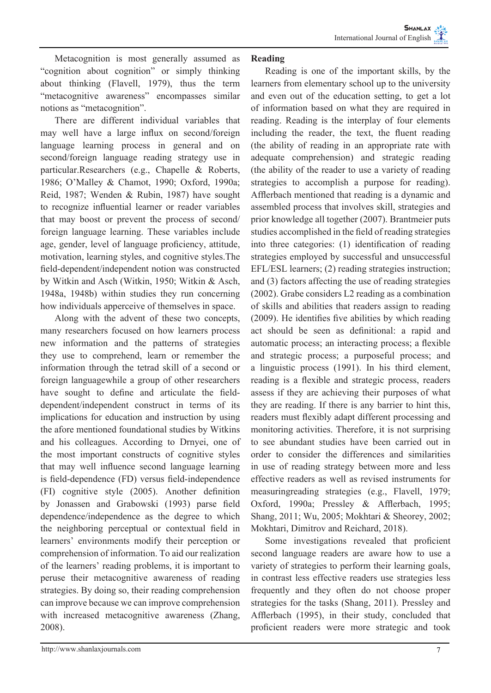Metacognition is most generally assumed as "cognition about cognition" or simply thinking about thinking (Flavell, 1979), thus the term "metacognitive awareness" encompasses similar notions as "metacognition".

There are different individual variables that may well have a large influx on second/foreign language learning process in general and on second/foreign language reading strategy use in particular.Researchers (e.g., Chapelle & Roberts, 1986; O'Malley & Chamot, 1990; Oxford, 1990a; Reid, 1987; Wenden & Rubin, 1987) have sought to recognize influential learner or reader variables that may boost or prevent the process of second/ foreign language learning. These variables include age, gender, level of language proficiency, attitude, motivation, learning styles, and cognitive styles.The field-dependent/independent notion was constructed by Witkin and Asch (Witkin, 1950; Witkin & Asch, 1948a, 1948b) within studies they run concerning how individuals apperceive of themselves in space.

Along with the advent of these two concepts, many researchers focused on how learners process new information and the patterns of strategies they use to comprehend, learn or remember the information through the tetrad skill of a second or foreign languagewhile a group of other researchers have sought to define and articulate the fielddependent/independent construct in terms of its implications for education and instruction by using the afore mentioned foundational studies by Witkins and his colleagues. According to Drnyei, one of the most important constructs of cognitive styles that may well influence second language learning is field-dependence (FD) versus field-independence (FI) cognitive style (2005). Another definition by Jonassen and Grabowski (1993) parse field dependence/independence as the degree to which the neighboring perceptual or contextual field in learners' environments modify their perception or comprehension of information. To aid our realization of the learners' reading problems, it is important to peruse their metacognitive awareness of reading strategies. By doing so, their reading comprehension can improve because we can improve comprehension with increased metacognitive awareness (Zhang, 2008).

# **Reading**

Reading is one of the important skills, by the learners from elementary school up to the university and even out of the education setting, to get a lot of information based on what they are required in reading. Reading is the interplay of four elements including the reader, the text, the fluent reading (the ability of reading in an appropriate rate with adequate comprehension) and strategic reading (the ability of the reader to use a variety of reading strategies to accomplish a purpose for reading). Afflerbach mentioned that reading is a dynamic and assembled process that involves skill, strategies and prior knowledge all together (2007). Brantmeier puts studies accomplished in the field of reading strategies into three categories: (1) identification of reading strategies employed by successful and unsuccessful EFL/ESL learners; (2) reading strategies instruction; and (3) factors affecting the use of reading strategies (2002). Grabe considers L2 reading as a combination of skills and abilities that readers assign to reading (2009). He identifies five abilities by which reading act should be seen as definitional: a rapid and automatic process; an interacting process; a flexible and strategic process; a purposeful process; and a linguistic process (1991). In his third element, reading is a flexible and strategic process, readers assess if they are achieving their purposes of what they are reading. If there is any barrier to hint this, readers must flexibly adapt different processing and monitoring activities. Therefore, it is not surprising to see abundant studies have been carried out in order to consider the differences and similarities in use of reading strategy between more and less effective readers as well as revised instruments for measuringreading strategies (e.g., Flavell, 1979; Oxford, 1990a; Pressley & Afflerbach, 1995; Shang, 2011; Wu, 2005; Mokhtari & Sheorey, 2002; Mokhtari, Dimitrov and Reichard, 2018).

Some investigations revealed that proficient second language readers are aware how to use a variety of strategies to perform their learning goals, in contrast less effective readers use strategies less frequently and they often do not choose proper strategies for the tasks (Shang, 2011). Pressley and Afflerbach (1995), in their study, concluded that proficient readers were more strategic and took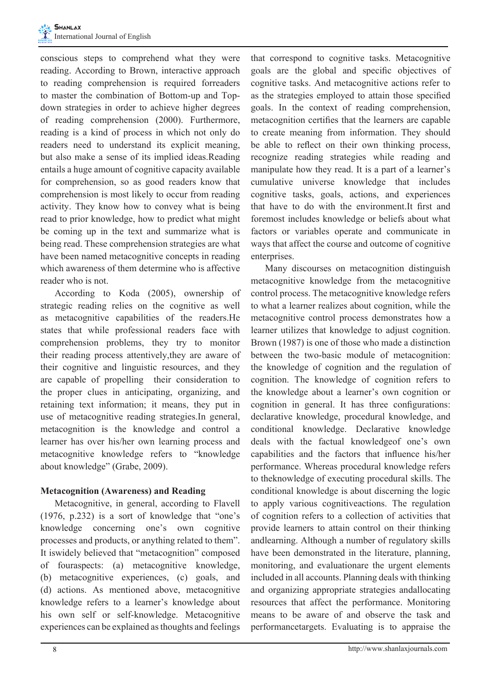conscious steps to comprehend what they were reading. According to Brown, interactive approach to reading comprehension is required forreaders to master the combination of Bottom-up and Topdown strategies in order to achieve higher degrees of reading comprehension (2000). Furthermore, reading is a kind of process in which not only do readers need to understand its explicit meaning, but also make a sense of its implied ideas.Reading entails a huge amount of cognitive capacity available for comprehension, so as good readers know that comprehension is most likely to occur from reading activity. They know how to convey what is being read to prior knowledge, how to predict what might be coming up in the text and summarize what is being read. These comprehension strategies are what have been named metacognitive concepts in reading which awareness of them determine who is affective reader who is not.

According to Koda (2005), ownership of strategic reading relies on the cognitive as well as metacognitive capabilities of the readers.He states that while professional readers face with comprehension problems, they try to monitor their reading process attentively,they are aware of their cognitive and linguistic resources, and they are capable of propelling their consideration to the proper clues in anticipating, organizing, and retaining text information; it means, they put in use of metacognitive reading strategies.In general, metacognition is the knowledge and control a learner has over his/her own learning process and metacognitive knowledge refers to "knowledge about knowledge" (Grabe, 2009).

# **Metacognition (Awareness) and Reading**

Metacognitive, in general, according to Flavell (1976, p.232) is a sort of knowledge that "one's knowledge concerning one's own cognitive processes and products, or anything related to them". It iswidely believed that "metacognition" composed of fouraspects: (a) metacognitive knowledge, (b) metacognitive experiences, (c) goals, and (d) actions. As mentioned above, metacognitive knowledge refers to a learner's knowledge about his own self or self-knowledge. Metacognitive experiences can be explained as thoughts and feelings

that correspond to cognitive tasks. Metacognitive goals are the global and specific objectives of cognitive tasks. And metacognitive actions refer to as the strategies employed to attain those specified goals. In the context of reading comprehension, metacognition certifies that the learners are capable to create meaning from information. They should be able to reflect on their own thinking process, recognize reading strategies while reading and manipulate how they read. It is a part of a learner's cumulative universe knowledge that includes cognitive tasks, goals, actions, and experiences that have to do with the environment.It first and foremost includes knowledge or beliefs about what factors or variables operate and communicate in ways that affect the course and outcome of cognitive enterprises.

Many discourses on metacognition distinguish metacognitive knowledge from the metacognitive control process. The metacognitive knowledge refers to what a learner realizes about cognition, while the metacognitive control process demonstrates how a learner utilizes that knowledge to adjust cognition. Brown (1987) is one of those who made a distinction between the two-basic module of metacognition: the knowledge of cognition and the regulation of cognition. The knowledge of cognition refers to the knowledge about a learner's own cognition or cognition in general. It has three configurations: declarative knowledge, procedural knowledge, and conditional knowledge. Declarative knowledge deals with the factual knowledgeof one's own capabilities and the factors that influence his/her performance. Whereas procedural knowledge refers to theknowledge of executing procedural skills. The conditional knowledge is about discerning the logic to apply various cognitiveactions. The regulation of cognition refers to a collection of activities that provide learners to attain control on their thinking andlearning. Although a number of regulatory skills have been demonstrated in the literature, planning, monitoring, and evaluationare the urgent elements included in all accounts. Planning deals with thinking and organizing appropriate strategies andallocating resources that affect the performance. Monitoring means to be aware of and observe the task and performancetargets. Evaluating is to appraise the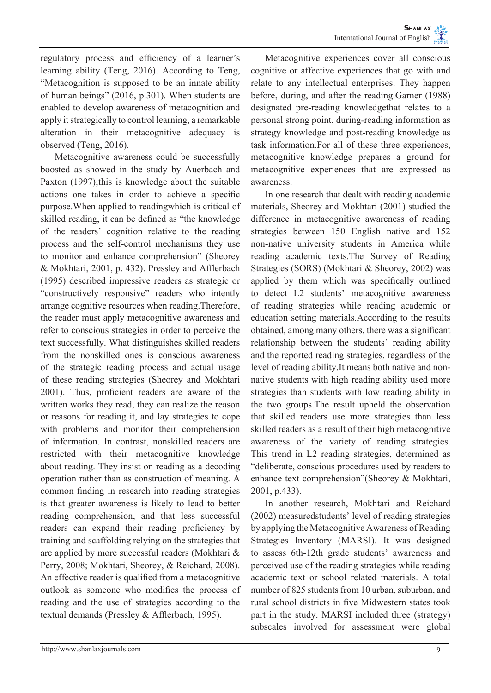regulatory process and efficiency of a learner's learning ability (Teng, 2016). According to Teng, "Metacognition is supposed to be an innate ability of human beings" (2016, p.301). When students are enabled to develop awareness of metacognition and apply it strategically to control learning, a remarkable alteration in their metacognitive adequacy is observed (Teng, 2016).

Metacognitive awareness could be successfully boosted as showed in the study by Auerbach and Paxton (1997);this is knowledge about the suitable actions one takes in order to achieve a specific purpose.When applied to readingwhich is critical of skilled reading, it can be defined as "the knowledge of the readers' cognition relative to the reading process and the self-control mechanisms they use to monitor and enhance comprehension" (Sheorey & Mokhtari, 2001, p. 432). Pressley and Afflerbach (1995) described impressive readers as strategic or "constructively responsive" readers who intently arrange cognitive resources when reading.Therefore, the reader must apply metacognitive awareness and refer to conscious strategies in order to perceive the text successfully. What distinguishes skilled readers from the nonskilled ones is conscious awareness of the strategic reading process and actual usage of these reading strategies (Sheorey and Mokhtari 2001). Thus, proficient readers are aware of the written works they read, they can realize the reason or reasons for reading it, and lay strategies to cope with problems and monitor their comprehension of information. In contrast, nonskilled readers are restricted with their metacognitive knowledge about reading. They insist on reading as a decoding operation rather than as construction of meaning. A common finding in research into reading strategies is that greater awareness is likely to lead to better reading comprehension, and that less successful readers can expand their reading proficiency by training and scaffolding relying on the strategies that are applied by more successful readers (Mokhtari & Perry, 2008; Mokhtari, Sheorey, & Reichard, 2008). An effective reader is qualified from a metacognitive outlook as someone who modifies the process of reading and the use of strategies according to the textual demands (Pressley & Afflerbach, 1995).

Metacognitive experiences cover all conscious cognitive or affective experiences that go with and relate to any intellectual enterprises. They happen before, during, and after the reading.Garner (1988) designated pre-reading knowledgethat relates to a personal strong point, during-reading information as strategy knowledge and post-reading knowledge as task information.For all of these three experiences, metacognitive knowledge prepares a ground for metacognitive experiences that are expressed as awareness.

In one research that dealt with reading academic materials, Sheorey and Mokhtari (2001) studied the difference in metacognitive awareness of reading strategies between 150 English native and 152 non-native university students in America while reading academic texts.The Survey of Reading Strategies (SORS) (Mokhtari & Sheorey, 2002) was applied by them which was specifically outlined to detect L2 students' metacognitive awareness of reading strategies while reading academic or education setting materials.According to the results obtained, among many others, there was a significant relationship between the students' reading ability and the reported reading strategies, regardless of the level of reading ability.It means both native and nonnative students with high reading ability used more strategies than students with low reading ability in the two groups.The result upheld the observation that skilled readers use more strategies than less skilled readers as a result of their high metacognitive awareness of the variety of reading strategies. This trend in L2 reading strategies, determined as "deliberate, conscious procedures used by readers to enhance text comprehension"(Sheorey & Mokhtari, 2001, p.433).

In another research, Mokhtari and Reichard (2002) measuredstudents' level of reading strategies by applying the Metacognitive Awareness of Reading Strategies Inventory (MARSI). It was designed to assess 6th-12th grade students' awareness and perceived use of the reading strategies while reading academic text or school related materials. A total number of 825 students from 10 urban, suburban, and rural school districts in five Midwestern states took part in the study. MARSI included three (strategy) subscales involved for assessment were global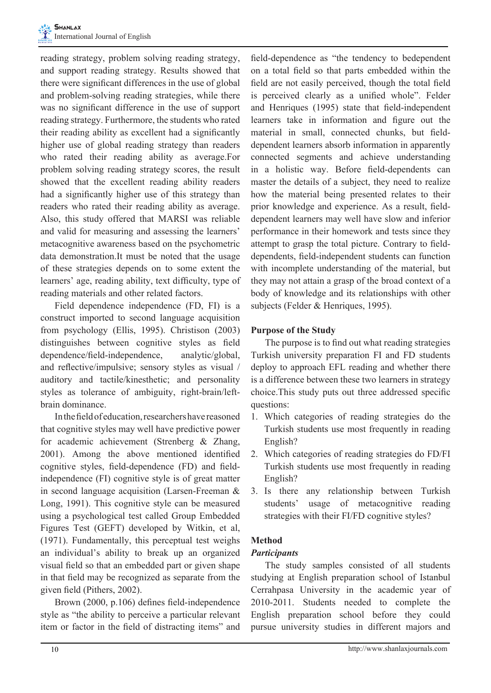reading strategy, problem solving reading strategy, and support reading strategy. Results showed that there were significant differences in the use of global and problem-solving reading strategies, while there was no significant difference in the use of support reading strategy. Furthermore, the students who rated their reading ability as excellent had a significantly higher use of global reading strategy than readers who rated their reading ability as average.For problem solving reading strategy scores, the result showed that the excellent reading ability readers had a significantly higher use of this strategy than readers who rated their reading ability as average. Also, this study offered that MARSI was reliable and valid for measuring and assessing the learners' metacognitive awareness based on the psychometric data demonstration.It must be noted that the usage of these strategies depends on to some extent the learners' age, reading ability, text difficulty, type of reading materials and other related factors.

Field dependence independence (FD, FI) is a construct imported to second language acquisition from psychology (Ellis, 1995). Christison (2003) distinguishes between cognitive styles as field dependence/field-independence, analytic/global, and reflective/impulsive; sensory styles as visual / auditory and tactile/kinesthetic; and personality styles as tolerance of ambiguity, right-brain/leftbrain dominance.

In the field of education, researchers have reasoned that cognitive styles may well have predictive power for academic achievement (Strenberg & Zhang, 2001). Among the above mentioned identified cognitive styles, field-dependence (FD) and fieldindependence (FI) cognitive style is of great matter in second language acquisition (Larsen-Freeman & Long, 1991). This cognitive style can be measured using a psychological test called Group Embedded Figures Test (GEFT) developed by Witkin, et al, (1971). Fundamentally, this perceptual test weighs an individual's ability to break up an organized visual field so that an embedded part or given shape in that field may be recognized as separate from the given field (Pithers, 2002).

Brown (2000, p.106) defines field-independence style as "the ability to perceive a particular relevant item or factor in the field of distracting items" and field-dependence as "the tendency to bedependent on a total field so that parts embedded within the field are not easily perceived, though the total field is perceived clearly as a unified whole". Felder and Henriques (1995) state that field-independent learners take in information and figure out the material in small, connected chunks, but fielddependent learners absorb information in apparently connected segments and achieve understanding in a holistic way. Before field-dependents can master the details of a subject, they need to realize how the material being presented relates to their prior knowledge and experience. As a result, fielddependent learners may well have slow and inferior performance in their homework and tests since they attempt to grasp the total picture. Contrary to fielddependents, field-independent students can function with incomplete understanding of the material, but they may not attain a grasp of the broad context of a body of knowledge and its relationships with other subjects (Felder & Henriques, 1995).

# **Purpose of the Study**

The purpose is to find out what reading strategies Turkish university preparation FI and FD students deploy to approach EFL reading and whether there is a difference between these two learners in strategy choice.This study puts out three addressed specific questions:

- 1. Which categories of reading strategies do the Turkish students use most frequently in reading English?
- 2. Which categories of reading strategies do FD/FI Turkish students use most frequently in reading English?
- 3. Is there any relationship between Turkish students' usage of metacognitive reading strategies with their FI/FD cognitive styles?

# **Method**

## *Participants*

The study samples consisted of all students studying at English preparation school of Istanbul Cerrahpasa University in the academic year of 2010-2011. Students needed to complete the English preparation school before they could pursue university studies in different majors and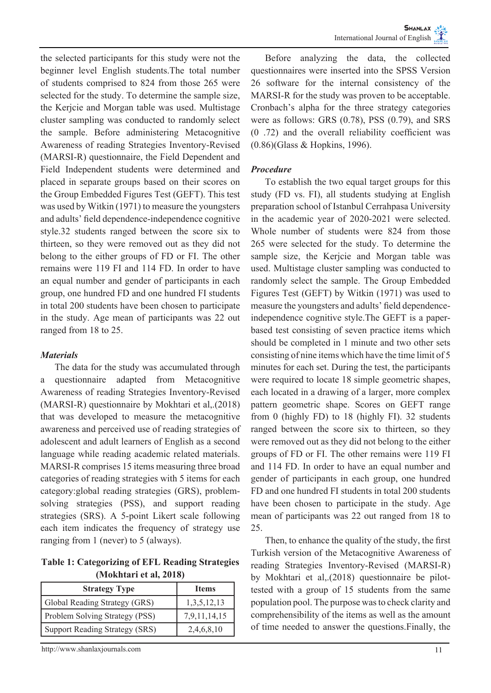the selected participants for this study were not the beginner level English students.The total number of students comprised to 824 from those 265 were selected for the study. To determine the sample size, the Kerjcie and Morgan table was used. Multistage cluster sampling was conducted to randomly select the sample. Before administering Metacognitive Awareness of reading Strategies Inventory-Revised (MARSI-R) questionnaire, the Field Dependent and Field Independent students were determined and placed in separate groups based on their scores on the Group Embedded Figures Test (GEFT). This test was used by Witkin (1971) to measure the youngsters and adults' field dependence-independence cognitive style.32 students ranged between the score six to thirteen, so they were removed out as they did not belong to the either groups of FD or FI. The other remains were 119 FI and 114 FD. In order to have an equal number and gender of participants in each group, one hundred FD and one hundred FI students in total 200 students have been chosen to participate in the study. Age mean of participants was 22 out ranged from 18 to 25.

## *Materials*

The data for the study was accumulated through a questionnaire adapted from Metacognitive Awareness of reading Strategies Inventory-Revised (MARSI-R) questionnaire by Mokhtari et al,.(2018) that was developed to measure the metacognitive awareness and perceived use of reading strategies of adolescent and adult learners of English as a second language while reading academic related materials. MARSI-R comprises 15 items measuring three broad categories of reading strategies with 5 items for each category:global reading strategies (GRS), problemsolving strategies (PSS), and support reading strategies (SRS). A 5-point Likert scale following each item indicates the frequency of strategy use ranging from 1 (never) to 5 (always).

**Table 1: Categorizing of EFL Reading Strategies (Mokhtari et al, 2018)**

| <b>Strategy Type</b>                  | <b>Items</b>    |
|---------------------------------------|-----------------|
| Global Reading Strategy (GRS)         | 1, 3, 5, 12, 13 |
| <b>Problem Solving Strategy (PSS)</b> | 7,9,11,14,15    |
| Support Reading Strategy (SRS)        | 2,4,6,8,10      |

http://www.shanlaxjournals.com 11

Before analyzing the data, the collected questionnaires were inserted into the SPSS Version 26 software for the internal consistency of the MARSI-R for the study was proven to be acceptable. Cronbach's alpha for the three strategy categories were as follows: GRS (0.78), PSS (0.79), and SRS (0 .72) and the overall reliability coefficient was (0.86)(Glass & Hopkins, 1996).

## *Procedure*

To establish the two equal target groups for this study (FD vs. FI), all students studying at English preparation school of Istanbul Cerrahpasa University in the academic year of 2020-2021 were selected. Whole number of students were 824 from those 265 were selected for the study. To determine the sample size, the Kerjcie and Morgan table was used. Multistage cluster sampling was conducted to randomly select the sample. The Group Embedded Figures Test (GEFT) by Witkin (1971) was used to measure the youngsters and adults' field dependenceindependence cognitive style.The GEFT is a paperbased test consisting of seven practice items which should be completed in 1 minute and two other sets consisting of nine items which have the time limit of 5 minutes for each set. During the test, the participants were required to locate 18 simple geometric shapes, each located in a drawing of a larger, more complex pattern geometric shape. Scores on GEFT range from 0 (highly FD) to 18 (highly FI). 32 students ranged between the score six to thirteen, so they were removed out as they did not belong to the either groups of FD or FI. The other remains were 119 FI and 114 FD. In order to have an equal number and gender of participants in each group, one hundred FD and one hundred FI students in total 200 students have been chosen to participate in the study. Age mean of participants was 22 out ranged from 18 to 25.

Then, to enhance the quality of the study, the first Turkish version of the Metacognitive Awareness of reading Strategies Inventory-Revised (MARSI-R) by Mokhtari et al,.(2018) questionnaire be pilottested with a group of 15 students from the same population pool. The purpose was to check clarity and comprehensibility of the items as well as the amount of time needed to answer the questions.Finally, the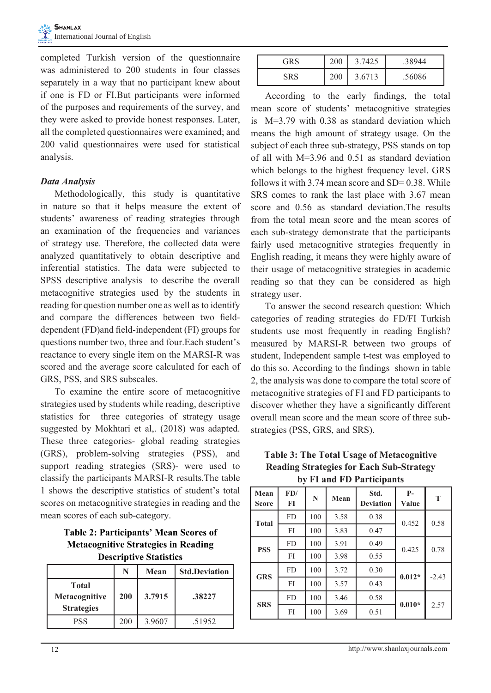completed Turkish version of the questionnaire was administered to 200 students in four classes separately in a way that no participant knew about if one is FD or FI.But participants were informed of the purposes and requirements of the survey, and they were asked to provide honest responses. Later, all the completed questionnaires were examined; and 200 valid questionnaires were used for statistical analysis.

## *Data Analysis*

Methodologically, this study is quantitative in nature so that it helps measure the extent of students' awareness of reading strategies through an examination of the frequencies and variances of strategy use. Therefore, the collected data were analyzed quantitatively to obtain descriptive and inferential statistics. The data were subjected to SPSS descriptive analysis to describe the overall metacognitive strategies used by the students in reading for question number one as well as to identify and compare the differences between two fielddependent (FD)and field-independent (FI) groups for questions number two, three and four.Each student's reactance to every single item on the MARSI-R was scored and the average score calculated for each of GRS, PSS, and SRS subscales.

To examine the entire score of metacognitive strategies used by students while reading, descriptive statistics for three categories of strategy usage suggested by Mokhtari et al,. (2018) was adapted. These three categories- global reading strategies (GRS), problem-solving strategies (PSS), and support reading strategies (SRS)- were used to classify the participants MARSI-R results.The table 1 shows the descriptive statistics of student's total scores on metacognitive strategies in reading and the mean scores of each sub-category.

**Table 2: Participants' Mean Scores of Metacognitive Strategies in Reading Descriptive Statistics**

|                                                    | N   | Mean   | <b>Std.Deviation</b> |
|----------------------------------------------------|-----|--------|----------------------|
| <b>Total</b><br>Metacognitive<br><b>Strategies</b> | 200 | 3.7915 | .38227               |
| <b>PSS</b>                                         | 200 | 3.9607 | .51952               |

|     | 200        | 7425   | .38944 |
|-----|------------|--------|--------|
| SRS | <b>200</b> | 3.6713 | .56086 |

According to the early findings, the total mean score of students' metacognitive strategies is M=3.79 with 0.38 as standard deviation which means the high amount of strategy usage. On the subject of each three sub-strategy, PSS stands on top of all with M=3.96 and 0.51 as standard deviation which belongs to the highest frequency level. GRS follows it with  $3.74$  mean score and SD= 0.38. While SRS comes to rank the last place with 3.67 mean score and 0.56 as standard deviation.The results from the total mean score and the mean scores of each sub-strategy demonstrate that the participants fairly used metacognitive strategies frequently in English reading, it means they were highly aware of their usage of metacognitive strategies in academic reading so that they can be considered as high strategy user.

To answer the second research question: Which categories of reading strategies do FD/FI Turkish students use most frequently in reading English? measured by MARSI-R between two groups of student, Independent sample t-test was employed to do this so. According to the findings shown in table 2, the analysis was done to compare the total score of metacognitive strategies of FI and FD participants to discover whether they have a significantly different overall mean score and the mean score of three substrategies (PSS, GRS, and SRS).

## **Table 3: The Total Usage of Metacognitive Reading Strategies for Each Sub-Strategy by FI and FD Participants**

| Mean<br><b>Score</b> | FD/<br>FI | N   | Mean | Std.<br><b>Deviation</b> | $P-$<br>Value | T       |
|----------------------|-----------|-----|------|--------------------------|---------------|---------|
| <b>Total</b>         | <b>FD</b> | 100 | 3.58 | 0.38                     | 0.452         | 0.58    |
|                      | FI        | 100 | 3.83 | 0.47                     |               |         |
| <b>PSS</b>           | <b>FD</b> | 100 | 3.91 | 0.49                     | 0.425         | 0.78    |
|                      | FI        | 100 | 3.98 | 0.55                     |               |         |
| <b>GRS</b>           | <b>FD</b> | 100 | 3.72 | 0.30                     | $0.012*$      | $-2.43$ |
|                      | FI        | 100 | 3.57 | 0.43                     |               |         |
| <b>SRS</b>           | <b>FD</b> | 100 | 3.46 | 0.58                     | $0.010*$      | 2.57    |
|                      | FI        | 100 | 3.69 | 0.51                     |               |         |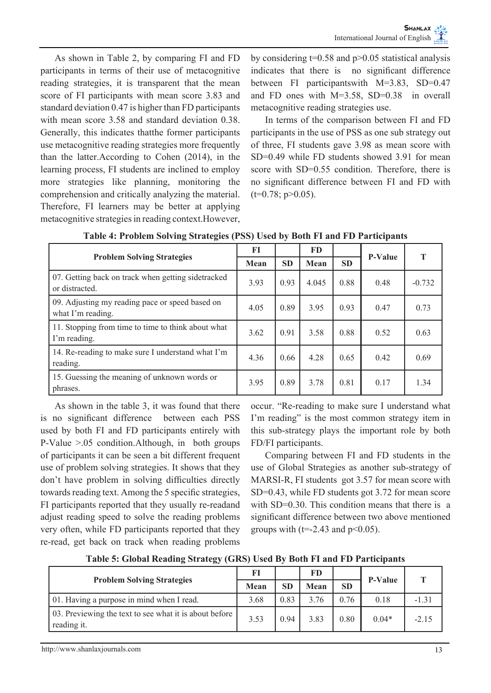As shown in Table 2, by comparing FI and FD participants in terms of their use of metacognitive reading strategies, it is transparent that the mean score of FI participants with mean score 3.83 and standard deviation 0.47 is higher than FD participants with mean score 3.58 and standard deviation 0.38. Generally, this indicates thatthe former participants use metacognitive reading strategies more frequently than the latter.According to Cohen (2014), in the learning process, FI students are inclined to employ more strategies like planning, monitoring the comprehension and critically analyzing the material. Therefore, FI learners may be better at applying metacognitive strategies in reading context.However,

by considering t=0.58 and p>0.05 statistical analysis indicates that there is no significant difference between FI participantswith M=3.83, SD=0.47 and FD ones with M=3.58, SD=0.38 in overall metacognitive reading strategies use.

In terms of the comparison between FI and FD participants in the use of PSS as one sub strategy out of three, FI students gave 3.98 as mean score with SD=0.49 while FD students showed 3.91 for mean score with SD=0.55 condition. Therefore, there is no significant difference between FI and FD with  $(t=0.78; p>0.05)$ .

|                                                                      | FI   |           | FD    |           | <b>P-Value</b> |          |
|----------------------------------------------------------------------|------|-----------|-------|-----------|----------------|----------|
| <b>Problem Solving Strategies</b>                                    | Mean | <b>SD</b> | Mean  | <b>SD</b> |                |          |
| 07. Getting back on track when getting sidetracked<br>or distracted. | 3.93 | 0.93      | 4.045 | 0.88      | 0.48           | $-0.732$ |
| 09. Adjusting my reading pace or speed based on<br>what I'm reading. | 4.05 | 0.89      | 3.95  | 0.93      | 0.47           | 0.73     |
| 11. Stopping from time to time to think about what<br>I'm reading.   | 3.62 | 0.91      | 3.58  | 0.88      | 0.52           | 0.63     |
| 14. Re-reading to make sure I understand what I'm<br>reading.        | 4.36 | 0.66      | 4.28  | 0.65      | 0.42           | 0.69     |
| 15. Guessing the meaning of unknown words or<br>phrases.             | 3.95 | 0.89      | 3.78  | 0.81      | 0.17           | 1.34     |

**Table 4: Problem Solving Strategies (PSS) Used by Both FI and FD Participants**

As shown in the table 3, it was found that there is no significant difference between each PSS used by both FI and FD participants entirely with P-Value >.05 condition.Although, in both groups of participants it can be seen a bit different frequent use of problem solving strategies. It shows that they don't have problem in solving difficulties directly towards reading text. Among the 5 specific strategies, FI participants reported that they usually re-readand adjust reading speed to solve the reading problems very often, while FD participants reported that they re-read, get back on track when reading problems occur. "Re-reading to make sure I understand what I'm reading" is the most common strategy item in this sub-strategy plays the important role by both FD/FI participants.

Comparing between FI and FD students in the use of Global Strategies as another sub-strategy of MARSI-R, FI students got 3.57 for mean score with SD=0.43, while FD students got 3.72 for mean score with SD=0.30. This condition means that there is a significant difference between two above mentioned groups with ( $t=-2.43$  and  $p<0.05$ ).

| <b>Problem Solving Strategies</b>                                     | FI   |           | FD   |           | <b>P-Value</b> |         |
|-----------------------------------------------------------------------|------|-----------|------|-----------|----------------|---------|
|                                                                       | Mean | <b>SD</b> | Mean | <b>SD</b> |                |         |
| 01. Having a purpose in mind when I read.                             | 3.68 | 0.83      | 3 76 | 0.76      | 0.18           | $-1.31$ |
| 03. Previewing the text to see what it is about before<br>reading it. | 3.53 | 0.94      | 3.83 | 0.80      | $0.04*$        | $-2.15$ |

**Table 5: Global Reading Strategy (GRS) Used By Both FI and FD Participants**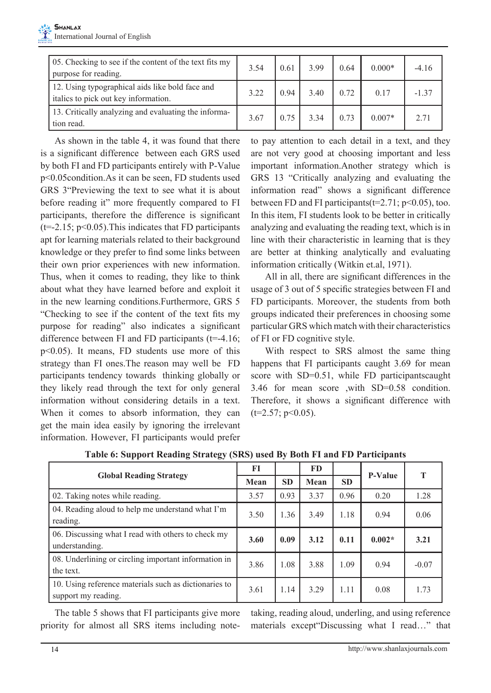| 05. Checking to see if the content of the text fits my<br>purpose for reading.          | 3.54 | 0.61 | 3.99 | 0.64 | $0.000*$ | $-4.16$ |
|-----------------------------------------------------------------------------------------|------|------|------|------|----------|---------|
| 12. Using typographical aids like bold face and<br>italics to pick out key information. | 3.22 | 0.94 | 3.40 | 0.72 | 0.17     | $-1.37$ |
| 13. Critically analyzing and evaluating the informa-<br>tion read.                      | 3.67 | 0.75 | 3.34 | 0.73 | $0.007*$ | 2.71    |

As shown in the table 4, it was found that there is a significant difference between each GRS used by both FI and FD participants entirely with P-Value p<0.05condition.As it can be seen, FD students used GRS 3"Previewing the text to see what it is about before reading it" more frequently compared to FI participants, therefore the difference is significant  $(t=2.15; p<0.05)$ . This indicates that FD participants apt for learning materials related to their background knowledge or they prefer to find some links between their own prior experiences with new information. Thus, when it comes to reading, they like to think about what they have learned before and exploit it in the new learning conditions.Furthermore, GRS 5 "Checking to see if the content of the text fits my purpose for reading" also indicates a significant difference between FI and FD participants  $(t=4.16;$ p<0.05). It means, FD students use more of this strategy than FI ones.The reason may well be FD participants tendency towards thinking globally or they likely read through the text for only general information without considering details in a text. When it comes to absorb information, they can get the main idea easily by ignoring the irrelevant information. However, FI participants would prefer to pay attention to each detail in a text, and they are not very good at choosing important and less important information.Another strategy which is GRS 13 "Critically analyzing and evaluating the information read" shows a significant difference between FD and FI participants  $(t=2.71; p<0.05)$ , too. In this item, FI students look to be better in critically analyzing and evaluating the reading text, which is in line with their characteristic in learning that is they are better at thinking analytically and evaluating information critically (Witkin et.al, 1971).

All in all, there are significant differences in the usage of 3 out of 5 specific strategies between FI and FD participants. Moreover, the students from both groups indicated their preferences in choosing some particular GRS which match with their characteristics of FI or FD cognitive style.

With respect to SRS almost the same thing happens that FI participants caught 3.69 for mean score with SD=0.51, while FD participantscaught 3.46 for mean score ,with SD=0.58 condition. Therefore, it shows a significant difference with  $(t=2.57; p<0.05)$ .

|                                                                              | FI   |           | FD   |           | <b>P-Value</b> | T       |
|------------------------------------------------------------------------------|------|-----------|------|-----------|----------------|---------|
| <b>Global Reading Strategy</b>                                               | Mean | <b>SD</b> | Mean | <b>SD</b> |                |         |
| 02. Taking notes while reading.                                              | 3.57 | 0.93      | 3.37 | 0.96      | 0.20           | 1.28    |
| 04. Reading aloud to help me understand what I'm<br>reading.                 | 3.50 | 1.36      | 3.49 | 1.18      | 0.94           | 0.06    |
| 06. Discussing what I read with others to check my<br>understanding.         | 3.60 | 0.09      | 3.12 | 0.11      | $0.002*$       | 3.21    |
| 08. Underlining or circling important information in<br>the text.            | 3.86 | 1.08      | 3.88 | 1.09      | 0.94           | $-0.07$ |
| 10. Using reference materials such as dictionaries to<br>support my reading. | 3.61 | 1.14      | 3.29 | 1.11      | 0.08           | 1.73    |

**Table 6: Support Reading Strategy (SRS) used By Both FI and FD Participants**

The table 5 shows that FI participants give more priority for almost all SRS items including notetaking, reading aloud, underling, and using reference materials except"Discussing what I read…" that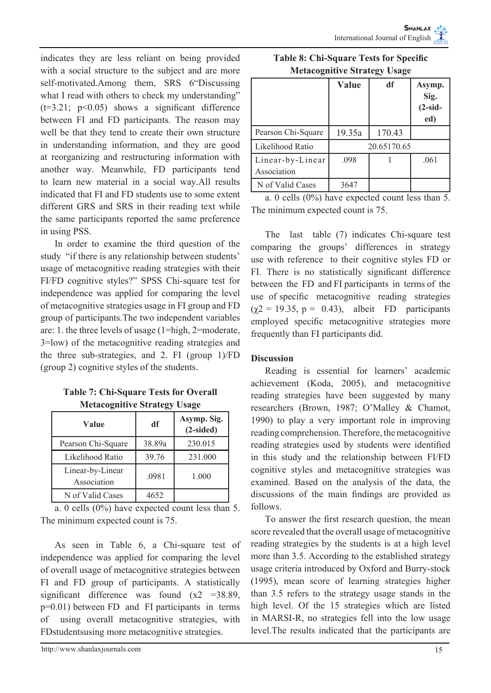indicates they are less reliant on being provided with a social structure to the subject and are more self-motivated.Among them, SRS 6 "Discussing what I read with others to check my understanding"  $(t=3.21; p<0.05)$  shows a significant difference between FI and FD participants. The reason may well be that they tend to create their own structure in understanding information, and they are good at reorganizing and restructuring information with another way. Meanwhile, FD participants tend to learn new material in a social way.All results indicated that FI and FD students use to some extent different GRS and SRS in their reading text while the same participants reported the same preference in using PSS.

In order to examine the third question of the study "if there is any relationship between students' usage of metacognitive reading strategies with their FI/FD cognitive styles?" SPSS Chi-square test for independence was applied for comparing the level of metacognitive strategies usage in FI group and FD group of participants.The two independent variables are: 1. the three levels of usage (1=high, 2=moderate, 3=low) of the metacognitive reading strategies and the three sub-strategies, and 2. FI (group 1)/FD (group 2) cognitive styles of the students.

| <b>Table 7: Chi-Square Tests for Overall</b> |
|----------------------------------------------|
| <b>Metacognitive Strategy Usage</b>          |

| Value                           | df     | Asymp. Sig.<br>$(2-sided)$ |
|---------------------------------|--------|----------------------------|
| Pearson Chi-Square              | 38.89a | 230.015                    |
| Likelihood Ratio                | 39.76  | 231.000                    |
| Linear-by-Linear<br>Association | .0981  | 1.000                      |
| N of Valid Cases                | 4652   |                            |

a. 0 cells (0%) have expected count less than 5. The minimum expected count is 75.

As seen in Table 6, a Chi-square test of independence was applied for comparing the level of overall usage of metacognitive strategies between FI and FD group of participants. A statistically significant difference was found  $(x2 = 38.89)$ , p=0.01) between FD and FI participants in terms of using overall metacognitive strategies, with FDstudentsusing more metacognitive strategies.

| <b>Metacognitive Strategy Usage</b> |       |    |        |  |  |  |
|-------------------------------------|-------|----|--------|--|--|--|
|                                     | Value | df | Asymp. |  |  |  |

**Table 8: Chi-Square Tests for Specific** 

|                                 | v alue | uı          | Аѕущр.<br>Sig.<br>$(2-sid -$<br>ed) |
|---------------------------------|--------|-------------|-------------------------------------|
| Pearson Chi-Square              | 19.35a | 170.43      |                                     |
| Likelihood Ratio                |        | 20.65170.65 |                                     |
| Linear-by-Linear<br>Association | .098   |             | .061                                |
| N of Valid Cases                | 3647   |             |                                     |

a. 0 cells (0%) have expected count less than 5. The minimum expected count is 75.

The last table (7) indicates Chi-square test comparing the groups' differences in strategy use with reference to their cognitive styles FD or FI. There is no statistically significant difference between the FD and FI participants in terms of the use of specific metacognitive reading strategies  $(\gamma 2 = 19.35, p = 0.43)$ , albeit FD participants employed specific metacognitive strategies more frequently than FI participants did.

# **Discussion**

┍

Reading is essential for learners' academic achievement (Koda, 2005), and metacognitive reading strategies have been suggested by many researchers (Brown, 1987; O'Malley & Chamot, 1990) to play a very important role in improving reading comprehension. Therefore, the metacognitive reading strategies used by students were identified in this study and the relationship between FI/FD cognitive styles and metacognitive strategies was examined. Based on the analysis of the data, the discussions of the main findings are provided as follows.

To answer the first research question, the mean score revealed that the overall usage of metacognitive reading strategies by the students is at a high level more than 3.5. According to the established strategy usage criteria introduced by Oxford and Burry-stock (1995), mean score of learning strategies higher than 3.5 refers to the strategy usage stands in the high level. Of the 15 strategies which are listed in MARSI-R, no strategies fell into the low usage level.The results indicated that the participants are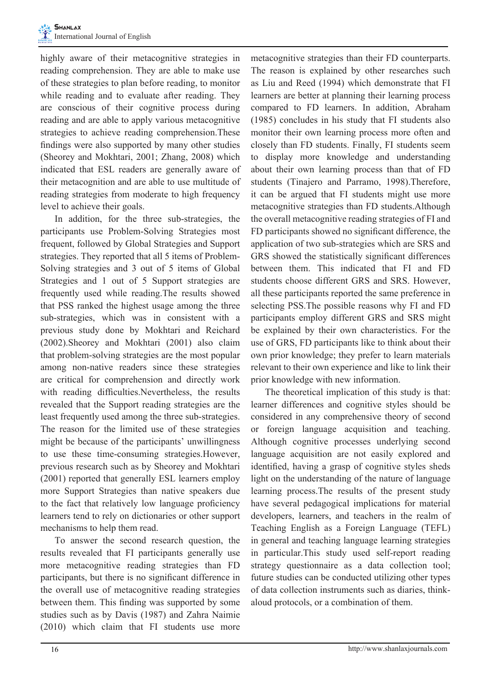highly aware of their metacognitive strategies in reading comprehension. They are able to make use of these strategies to plan before reading, to monitor while reading and to evaluate after reading. They are conscious of their cognitive process during reading and are able to apply various metacognitive strategies to achieve reading comprehension.These findings were also supported by many other studies (Sheorey and Mokhtari, 2001; Zhang, 2008) which indicated that ESL readers are generally aware of their metacognition and are able to use multitude of reading strategies from moderate to high frequency level to achieve their goals.

In addition, for the three sub-strategies, the participants use Problem-Solving Strategies most frequent, followed by Global Strategies and Support strategies. They reported that all 5 items of Problem-Solving strategies and 3 out of 5 items of Global Strategies and 1 out of 5 Support strategies are frequently used while reading.The results showed that PSS ranked the highest usage among the three sub-strategies, which was in consistent with a previous study done by Mokhtari and Reichard (2002).Sheorey and Mokhtari (2001) also claim that problem-solving strategies are the most popular among non-native readers since these strategies are critical for comprehension and directly work with reading difficulties.Nevertheless, the results revealed that the Support reading strategies are the least frequently used among the three sub-strategies. The reason for the limited use of these strategies might be because of the participants' unwillingness to use these time-consuming strategies.However, previous research such as by Sheorey and Mokhtari (2001) reported that generally ESL learners employ more Support Strategies than native speakers due to the fact that relatively low language proficiency learners tend to rely on dictionaries or other support mechanisms to help them read.

To answer the second research question, the results revealed that FI participants generally use more metacognitive reading strategies than FD participants, but there is no significant difference in the overall use of metacognitive reading strategies between them. This finding was supported by some studies such as by Davis (1987) and Zahra Naimie (2010) which claim that FI students use more metacognitive strategies than their FD counterparts. The reason is explained by other researches such as Liu and Reed (1994) which demonstrate that FI learners are better at planning their learning process compared to FD learners. In addition, Abraham (1985) concludes in his study that FI students also monitor their own learning process more often and closely than FD students. Finally, FI students seem to display more knowledge and understanding about their own learning process than that of FD students (Tinajero and Parramo, 1998).Therefore, it can be argued that FI students might use more metacognitive strategies than FD students.Although the overall metacognitive reading strategies of FI and FD participants showed no significant difference, the application of two sub-strategies which are SRS and GRS showed the statistically significant differences between them. This indicated that FI and FD students choose different GRS and SRS. However, all these participants reported the same preference in selecting PSS.The possible reasons why FI and FD participants employ different GRS and SRS might be explained by their own characteristics. For the use of GRS, FD participants like to think about their own prior knowledge; they prefer to learn materials relevant to their own experience and like to link their prior knowledge with new information.

The theoretical implication of this study is that: learner differences and cognitive styles should be considered in any comprehensive theory of second or foreign language acquisition and teaching. Although cognitive processes underlying second language acquisition are not easily explored and identified, having a grasp of cognitive styles sheds light on the understanding of the nature of language learning process.The results of the present study have several pedagogical implications for material developers, learners, and teachers in the realm of Teaching English as a Foreign Language (TEFL) in general and teaching language learning strategies in particular.This study used self-report reading strategy questionnaire as a data collection tool; future studies can be conducted utilizing other types of data collection instruments such as diaries, thinkaloud protocols, or a combination of them.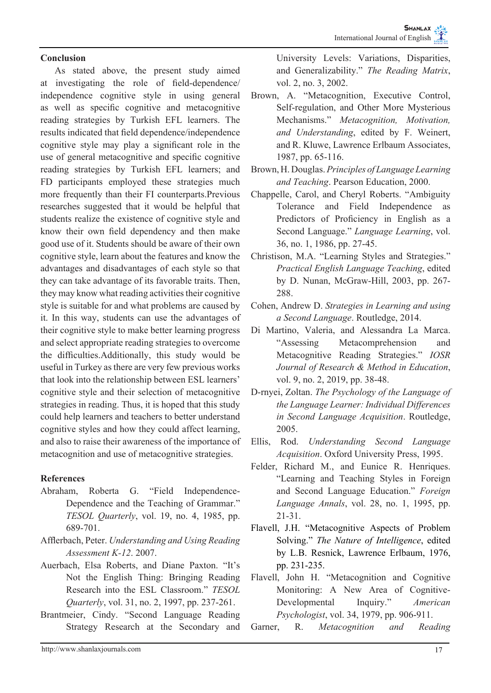# **Conclusion**

As stated above, the present study aimed at investigating the role of field-dependence/ independence cognitive style in using general as well as specific cognitive and metacognitive reading strategies by Turkish EFL learners. The results indicated that field dependence/independence cognitive style may play a significant role in the use of general metacognitive and specific cognitive reading strategies by Turkish EFL learners; and FD participants employed these strategies much more frequently than their FI counterparts.Previous researches suggested that it would be helpful that students realize the existence of cognitive style and know their own field dependency and then make good use of it. Students should be aware of their own cognitive style, learn about the features and know the advantages and disadvantages of each style so that they can take advantage of its favorable traits. Then, they may know what reading activities their cognitive style is suitable for and what problems are caused by it. In this way, students can use the advantages of their cognitive style to make better learning progress and select appropriate reading strategies to overcome the difficulties.Additionally, this study would be useful in Turkey as there are very few previous works that look into the relationship between ESL learners' cognitive style and their selection of metacognitive strategies in reading. Thus, it is hoped that this study could help learners and teachers to better understand cognitive styles and how they could affect learning, and also to raise their awareness of the importance of metacognition and use of metacognitive strategies.

# **References**

- Abraham, Roberta G. "Field Independence-Dependence and the Teaching of Grammar." *TESOL Quarterly*, vol. 19, no. 4, 1985, pp. 689-701.
- Afflerbach, Peter. *Understanding and Using Reading Assessment K-12*. 2007.
- Auerbach, Elsa Roberts, and Diane Paxton. "It's Not the English Thing: Bringing Reading Research into the ESL Classroom." *TESOL Quarterly*, vol. 31, no. 2, 1997, pp. 237-261.
- Brantmeier, Cindy. "Second Language Reading Strategy Research at the Secondary and

University Levels: Variations, Disparities, and Generalizability." *The Reading Matrix*, vol. 2, no. 3, 2002.

- Brown, A. "Metacognition, Executive Control, Self-regulation, and Other More Mysterious Mechanisms." *Metacognition, Motivation, and Understanding*, edited by F. Weinert, and R. Kluwe, Lawrence Erlbaum Associates, 1987, pp. 65-116.
- Brown, H. Douglas. *Principles of Language Learning and Teaching*. Pearson Education, 2000.
- Chappelle, Carol, and Cheryl Roberts. "Ambiguity Tolerance and Field Independence as Predictors of Proficiency in English as a Second Language." *Language Learning*, vol. 36, no. 1, 1986, pp. 27-45.
- Christison, M.A. "Learning Styles and Strategies." *Practical English Language Teaching*, edited by D. Nunan, McGraw-Hill, 2003, pp. 267- 288.
- Cohen, Andrew D. *Strategies in Learning and using a Second Language*. Routledge, 2014.
- Di Martino, Valeria, and Alessandra La Marca. "Assessing Metacomprehension and Metacognitive Reading Strategies." *IOSR Journal of Research & Method in Education*, vol. 9, no. 2, 2019, pp. 38-48.
- D-rnyei, Zoltan. *The Psychology of the Language of the Language Learner: Individual Differences in Second Language Acquisition*. Routledge, 2005.
- Ellis, Rod. *Understanding Second Language Acquisition*. Oxford University Press, 1995.
- Felder, Richard M., and Eunice R. Henriques. "Learning and Teaching Styles in Foreign and Second Language Education." *Foreign Language Annals*, vol. 28, no. 1, 1995, pp. 21-31.
- Flavell, J.H. "Metacognitive Aspects of Problem Solving." *The Nature of Intelligence*, edited by L.B. Resnick, Lawrence Erlbaum, 1976, pp. 231-235.
- Flavell, John H. "Metacognition and Cognitive Monitoring: A New Area of Cognitive-Developmental Inquiry." *American Psychologist*, vol. 34, 1979, pp. 906-911.
- Garner, R. *Metacognition and Reading*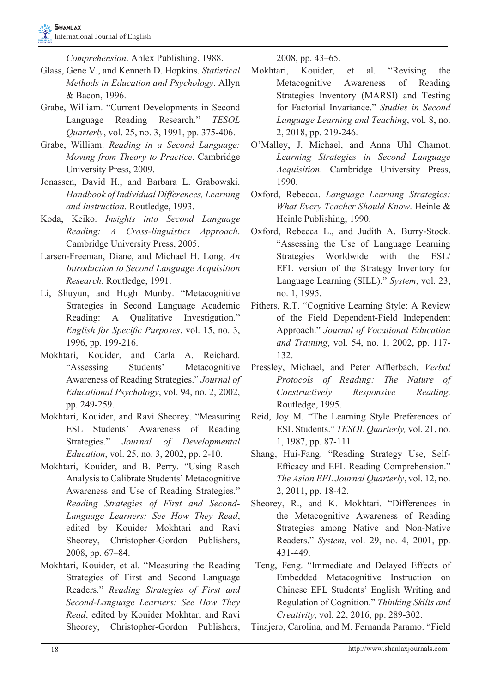*Comprehension*. Ablex Publishing, 1988.

- Glass, Gene V., and Kenneth D. Hopkins. *Statistical Methods in Education and Psychology*. Allyn & Bacon, 1996.
- Grabe, William. "Current Developments in Second Language Reading Research." *TESOL Quarterly*, vol. 25, no. 3, 1991, pp. 375-406.
- Grabe, William. *Reading in a Second Language: Moving from Theory to Practice*. Cambridge University Press, 2009.
- Jonassen, David H., and Barbara L. Grabowski. *Handbook of Individual Differences, Learning and Instruction*. Routledge, 1993.
- Koda, Keiko. *Insights into Second Language Reading: A Cross-linguistics Approach*. Cambridge University Press, 2005.
- Larsen-Freeman, Diane, and Michael H. Long. *An Introduction to Second Language Acquisition Research*. Routledge, 1991.
- Li, Shuyun, and Hugh Munby. "Metacognitive Strategies in Second Language Academic Reading: A Qualitative Investigation." *English for Specific Purposes*, vol. 15, no. 3, 1996, pp. 199-216.
- Mokhtari, Kouider, and Carla A. Reichard. "Assessing Students' Metacognitive Awareness of Reading Strategies." *Journal of Educational Psychology*, vol. 94, no. 2, 2002, pp. 249-259.
- Mokhtari, Kouider, and Ravi Sheorey. "Measuring ESL Students' Awareness of Reading Strategies." *Journal of Developmental Education*, vol. 25, no. 3, 2002, pp. 2-10.
- Mokhtari, Kouider, and B. Perry. "Using Rasch Analysis to Calibrate Students' Metacognitive Awareness and Use of Reading Strategies." *Reading Strategies of First and Second-Language Learners: See How They Read*, edited by Kouider Mokhtari and Ravi Sheorey, Christopher-Gordon Publishers, 2008, pp. 67–84.
- Mokhtari, Kouider, et al. "Measuring the Reading Strategies of First and Second Language Readers." *Reading Strategies of First and Second-Language Learners: See How They Read*, edited by Kouider Mokhtari and Ravi Sheorey, Christopher-Gordon Publishers,

2008, pp. 43–65.

- Mokhtari, Kouider, et al. "Revising the Metacognitive Awareness of Reading Strategies Inventory (MARSI) and Testing for Factorial Invariance." *Studies in Second Language Learning and Teaching*, vol. 8, no. 2, 2018, pp. 219-246.
- O'Malley, J. Michael, and Anna Uhl Chamot. *Learning Strategies in Second Language Acquisition*. Cambridge University Press, 1990.
- Oxford, Rebecca. *Language Learning Strategies: What Every Teacher Should Know*. Heinle & Heinle Publishing, 1990.
- Oxford, Rebecca L., and Judith A. Burry-Stock. "Assessing the Use of Language Learning Strategies Worldwide with the ESL/ EFL version of the Strategy Inventory for Language Learning (SILL)." *System*, vol. 23, no. 1, 1995.
- Pithers, R.T. "Cognitive Learning Style: A Review of the Field Dependent-Field Independent Approach." *Journal of Vocational Education and Training*, vol. 54, no. 1, 2002, pp. 117- 132.
- Pressley, Michael, and Peter Afflerbach. *Verbal Protocols of Reading: The Nature of Constructively Responsive Reading*. Routledge, 1995.
- Reid, Joy M. "The Learning Style Preferences of ESL Students." *TESOL Quarterly,* vol. 21, no. 1, 1987, pp. 87-111.
- Shang, Hui-Fang. "Reading Strategy Use, Self-Efficacy and EFL Reading Comprehension." *The Asian EFL Journal Quarterly*, vol. 12, no. 2, 2011, pp. 18-42.
- Sheorey, R., and K. Mokhtari. "Differences in the Metacognitive Awareness of Reading Strategies among Native and Non-Native Readers." *System*, vol. 29, no. 4, 2001, pp. 431-449.
- Teng, Feng. "Immediate and Delayed Effects of Embedded Metacognitive Instruction on Chinese EFL Students' English Writing and Regulation of Cognition." *Thinking Skills and Creativity*, vol. 22, 2016, pp. 289-302.

Tinajero, Carolina, and M. Fernanda Paramo. "Field